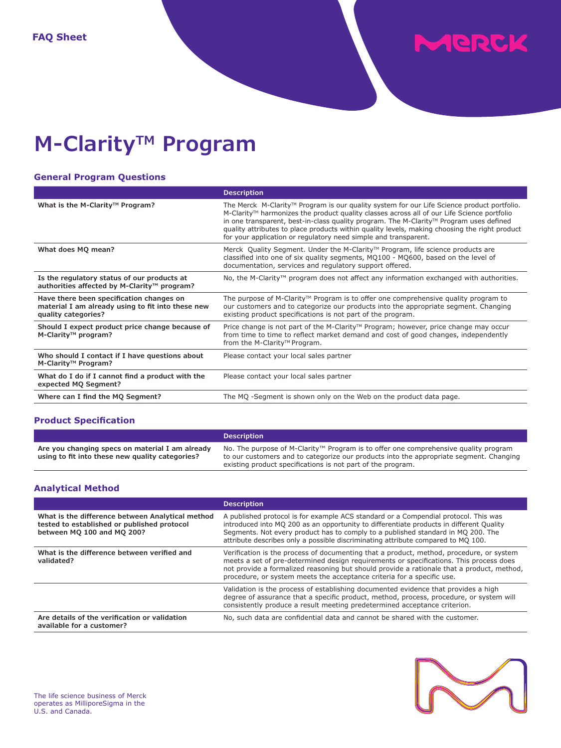MERCK

# **M-Clarity<sup>™</sup> Program**

# **General Program Questions**

|                                                                                                                      | <b>Description</b>                                                                                                                                                                                                                                                                                                                                                                                                                                     |
|----------------------------------------------------------------------------------------------------------------------|--------------------------------------------------------------------------------------------------------------------------------------------------------------------------------------------------------------------------------------------------------------------------------------------------------------------------------------------------------------------------------------------------------------------------------------------------------|
| What is the M-Clarity™ Program?                                                                                      | The Merck M-Clarity™ Program is our quality system for our Life Science product portfolio.<br>M-Clarity™ harmonizes the product quality classes across all of our Life Science portfolio<br>in one transparent, best-in-class quality program. The M-Clarity™ Program uses defined<br>quality attributes to place products within quality levels, making choosing the right product<br>for your application or regulatory need simple and transparent. |
| What does MQ mean?                                                                                                   | Merck Quality Segment. Under the M-Clarity™ Program, life science products are<br>classified into one of six quality segments, MQ100 - MQ600, based on the level of<br>documentation, services and regulatory support offered.                                                                                                                                                                                                                         |
| Is the regulatory status of our products at<br>authorities affected by M-Clarity™ program?                           | No, the M-Clarity <sup>™</sup> program does not affect any information exchanged with authorities.                                                                                                                                                                                                                                                                                                                                                     |
| Have there been specification changes on<br>material I am already using to fit into these new<br>quality categories? | The purpose of M-Clarity <sup>™</sup> Program is to offer one comprehensive quality program to<br>our customers and to categorize our products into the appropriate segment. Changing<br>existing product specifications is not part of the program.                                                                                                                                                                                                   |
| Should I expect product price change because of<br>M-Clarity™ program?                                               | Price change is not part of the M-Clarity <sup><math>TM</math></sup> Program; however, price change may occur<br>from time to time to reflect market demand and cost of good changes, independently<br>from the M-Clarity™ Program.                                                                                                                                                                                                                    |
| Who should I contact if I have questions about<br>M-Clarity <sup>™</sup> Program?                                    | Please contact your local sales partner                                                                                                                                                                                                                                                                                                                                                                                                                |
| What do I do if I cannot find a product with the<br>expected MQ Segment?                                             | Please contact your local sales partner                                                                                                                                                                                                                                                                                                                                                                                                                |
| Where can I find the MQ Segment?                                                                                     | The MQ -Segment is shown only on the Web on the product data page.                                                                                                                                                                                                                                                                                                                                                                                     |

# **Product Specification**

|                                                                                                    | <b>Description</b>                                                                                                                                                                                                                                       |
|----------------------------------------------------------------------------------------------------|----------------------------------------------------------------------------------------------------------------------------------------------------------------------------------------------------------------------------------------------------------|
| Are you changing specs on material I am already<br>using to fit into these new quality categories? | No. The purpose of M-Clarity <sup>™</sup> Program is to offer one comprehensive quality program<br>to our customers and to categorize our products into the appropriate segment. Changing<br>existing product specifications is not part of the program. |

# **Analytical Method**

|                                                                                                                               | <b>Description</b>                                                                                                                                                                                                                                                                                                                                       |
|-------------------------------------------------------------------------------------------------------------------------------|----------------------------------------------------------------------------------------------------------------------------------------------------------------------------------------------------------------------------------------------------------------------------------------------------------------------------------------------------------|
| What is the difference between Analytical method<br>tested to established or published protocol<br>between MQ 100 and MQ 200? | A published protocol is for example ACS standard or a Compendial protocol. This was<br>introduced into MQ 200 as an opportunity to differentiate products in different Quality<br>Segments. Not every product has to comply to a published standard in MQ 200. The<br>attribute describes only a possible discriminating attribute compared to MQ 100.   |
| What is the difference between verified and<br>validated?                                                                     | Verification is the process of documenting that a product, method, procedure, or system<br>meets a set of pre-determined design requirements or specifications. This process does<br>not provide a formalized reasoning but should provide a rationale that a product, method,<br>procedure, or system meets the acceptance criteria for a specific use. |
|                                                                                                                               | Validation is the process of establishing documented evidence that provides a high<br>degree of assurance that a specific product, method, process, procedure, or system will<br>consistently produce a result meeting predetermined acceptance criterion.                                                                                               |
| Are details of the verification or validation<br>available for a customer?                                                    | No, such data are confidential data and cannot be shared with the customer.                                                                                                                                                                                                                                                                              |